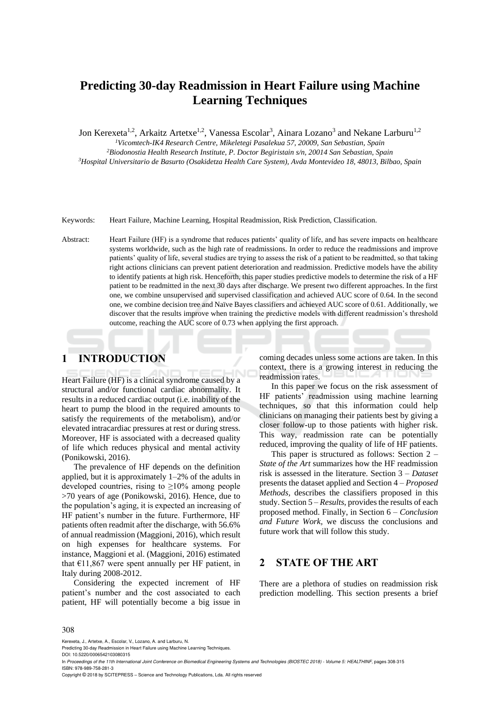# **Predicting 30-day Readmission in Heart Failure using Machine Learning Techniques**

Jon Kerexeta<sup>1,2</sup>, Arkaitz Artetxe<sup>1,2</sup>, Vanessa Escolar<sup>3</sup>, Ainara Lozano<sup>3</sup> and Nekane Larburu<sup>1,2</sup>

*<sup>1</sup>Vicomtech-IK4 Research Centre, Mikeletegi Pasalekua 57, 20009, San Sebastian, Spain*

*<sup>2</sup>Biodonostia Health Research Institute, P. Doctor Begiristain s/n, 20014 San Sebastian, Spain <sup>3</sup>Hospital Universitario de Basurto (Osakidetza Health Care System), Avda Montevideo 18, 48013, Bilbao, Spain*

Keywords: Heart Failure, Machine Learning, Hospital Readmission, Risk Prediction, Classification.

Abstract: Heart Failure (HF) is a syndrome that reduces patients' quality of life, and has severe impacts on healthcare systems worldwide, such as the high rate of readmissions. In order to reduce the readmissions and improve patients' quality of life, several studies are trying to assess the risk of a patient to be readmitted, so that taking right actions clinicians can prevent patient deterioration and readmission. Predictive models have the ability to identify patients at high risk. Henceforth, this paper studies predictive models to determine the risk of a HF patient to be readmitted in the next 30 days after discharge. We present two different approaches. In the first one, we combine unsupervised and supervised classification and achieved AUC score of 0.64. In the second one, we combine decision tree and Naïve Bayes classifiers and achieved AUC score of 0.61. Additionally, we discover that the results improve when training the predictive models with different readmission's threshold outcome, reaching the AUC score of 0.73 when applying the first approach.

## **1 INTRODUCTION**

Heart Failure (HF) is a clinical syndrome caused by a structural and/or functional cardiac abnormality. It results in a reduced cardiac output (i.e. inability of the heart to pump the blood in the required amounts to satisfy the requirements of the metabolism), and/or elevated intracardiac pressures at rest or during stress. Moreover, HF is associated with a decreased quality of life which reduces physical and mental activity (Ponikowski, 2016).

The prevalence of HF depends on the definition applied, but it is approximately 1–2% of the adults in developed countries, rising to  $\geq 10\%$  among people >70 years of age (Ponikowski, 2016). Hence, due to the population's aging, it is expected an increasing of HF patient's number in the future. Furthermore, HF patients often readmit after the discharge, with 56.6% of annual readmission (Maggioni, 2016), which result on high expenses for healthcare systems. For instance, Maggioni et al. (Maggioni, 2016) estimated that  $£11,867$  were spent annually per HF patient, in Italy during 2008-2012.

Considering the expected increment of HF patient's number and the cost associated to each patient, HF will potentially become a big issue in coming decades unless some actions are taken. In this context, there is a growing interest in reducing the readmission rates.

In this paper we focus on the risk assessment of HF patients' readmission using machine learning techniques, so that this information could help clinicians on managing their patients best by giving a closer follow-up to those patients with higher risk. This way, readmission rate can be potentially reduced, improving the quality of life of HF patients.

This paper is structured as follows: Section 2 – *State of the Art* summarizes how the HF readmission risk is assessed in the literature. Section 3 – *Dataset* presents the dataset applied and Section 4 – *Proposed Methods,* describes the classifiers proposed in this study. Section 5 – *Results*, provides the results of each proposed method. Finally, in Section 6 – *Conclusion and Future Work,* we discuss the conclusions and future work that will follow this study.

## **2 STATE OF THE ART**

There are a plethora of studies on readmission risk prediction modelling. This section presents a brief

#### 308

Kerexeta, J., Artetxe, A., Escolar, V., Lozano, A. and Larburu, N.

Predicting 30-day Readmission in Heart Failure using Machine Learning Techniques.

DOI: 10.5220/0006542103080315

Copyright © 2018 by SCITEPRESS – Science and Technology Publications, Lda. All rights reserved

In *Proceedings of the 11th International Joint Conference on Biomedical Engineering Systems and Technologies (BIOSTEC 2018) - Volume 5: HEALTHINF*, pages 308-315 ISBN: 978-989-758-281-3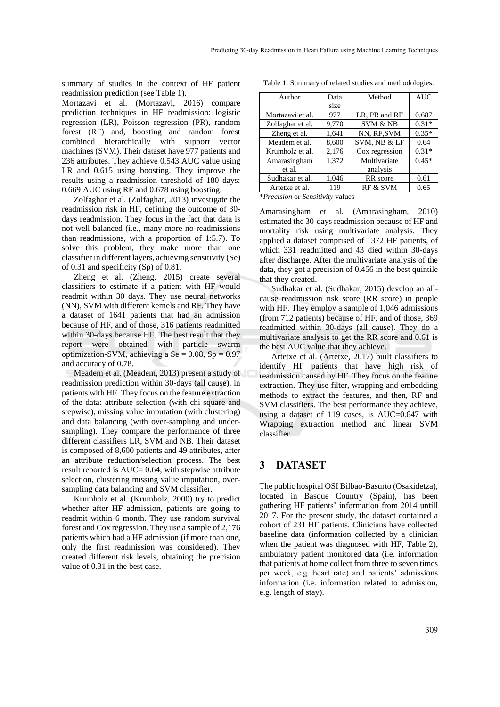summary of studies in the context of HF patient readmission prediction (see Table 1).

Mortazavi et al. (Mortazavi, 2016) compare prediction techniques in HF readmission: logistic regression (LR), Poisson regression (PR), random forest (RF) and, boosting and random forest combined hierarchically with support vector machines (SVM). Their dataset have 977 patients and 236 attributes. They achieve 0.543 AUC value using LR and 0.615 using boosting. They improve the results using a readmission threshold of 180 days: 0.669 AUC using RF and 0.678 using boosting.

Zolfaghar et al. (Zolfaghar, 2013) investigate the readmission risk in HF, defining the outcome of 30 days readmission. They focus in the fact that data is not well balanced (i.e., many more no readmissions than readmissions, with a proportion of 1:5.7). To solve this problem, they make more than one classifier in different layers, achieving sensitivity (Se) of 0.31 and specificity (Sp) of 0.81.

Zheng et al. (Zheng, 2015) create several classifiers to estimate if a patient with HF would readmit within 30 days. They use neural networks (NN), SVM with different kernels and RF. They have a dataset of 1641 patients that had an admission because of HF, and of those, 316 patients readmitted within 30-days because HF. The best result that they report were obtained with particle swarm optimization-SVM, achieving a  $Se = 0.08$ ,  $Sp = 0.97$ and accuracy of 0.78.

Meadem et al. (Meadem, 2013) present a study of readmission prediction within 30-days (all cause), in patients with HF. They focus on the feature extraction of the data: attribute selection (with chi-square and stepwise), missing value imputation (with clustering) and data balancing (with over-sampling and undersampling). They compare the performance of three different classifiers LR, SVM and NB. Their dataset is composed of 8,600 patients and 49 attributes, after an attribute reduction/selection process. The best result reported is AUC= 0.64, with stepwise attribute selection, clustering missing value imputation, oversampling data balancing and SVM classifier.

Krumholz et al. (Krumholz, 2000) try to predict whether after HF admission, patients are going to readmit within 6 month. They use random survival forest and Cox regression. They use a sample of 2,176 patients which had a HF admission (if more than one, only the first readmission was considered). They created different risk levels, obtaining the precision value of 0.31 in the best case.

| Author           | Data  | Method              | <b>AUC</b> |
|------------------|-------|---------------------|------------|
|                  | size  |                     |            |
| Mortazavi et al. | 977   | LR. PR and RF       | 0.687      |
| Zolfaghar et al. | 9,770 | <b>SVM &amp; NB</b> | $0.31*$    |
| Zheng et al.     | 1,641 | NN, RF,SVM          | $0.35*$    |
| Meadem et al.    | 8,600 | SVM, NB & LF        | 0.64       |
| Krumholz et al.  | 2,176 | Cox regression      | $0.31*$    |
| Amarasingham     | 1,372 | Multivariate        | $0.45*$    |
| et al.           |       | analysis            |            |
| Sudhakar et al.  | 1,046 | RR score            | 0.61       |
| Artetxe et al.   | 119   | RF & SVM            | 0.65       |

Table 1: Summary of related studies and methodologies.

\**Precision* or *Sensitivity* values

Amarasingham et al. (Amarasingham, 2010) estimated the 30-days readmission because of HF and mortality risk using multivariate analysis. They applied a dataset comprised of 1372 HF patients, of which 331 readmitted and 43 died within 30-days after discharge. After the multivariate analysis of the data, they got a precision of 0.456 in the best quintile that they created.

Sudhakar et al. (Sudhakar, 2015) develop an allcause readmission risk score (RR score) in people with HF. They employ a sample of 1,046 admissions (from 712 patients) because of HF, and of those, 369 readmitted within 30-days (all cause). They do a multivariate analysis to get the RR score and 0.61 is the best AUC value that they achieve.

Artetxe et al. (Artetxe, 2017) built classifiers to identify HF patients that have high risk of readmission caused by HF. They focus on the feature extraction. They use filter, wrapping and embedding methods to extract the features, and then, RF and SVM classifiers. The best performance they achieve, using a dataset of 119 cases, is AUC=0.647 with Wrapping extraction method and linear SVM classifier.

## **3 DATASET**

The public hospital OSI Bilbao-Basurto (Osakidetza), located in Basque Country (Spain), has been gathering HF patients' information from 2014 untill 2017. For the present study, the dataset contained a cohort of 231 HF patients. Clinicians have collected baseline data (information collected by a clinician when the patient was diagnosed with HF, Table 2), ambulatory patient monitored data (i.e. information that patients at home collect from three to seven times per week, e.g. heart rate) and patients' admissions information (i.e. information related to admission, e.g. length of stay).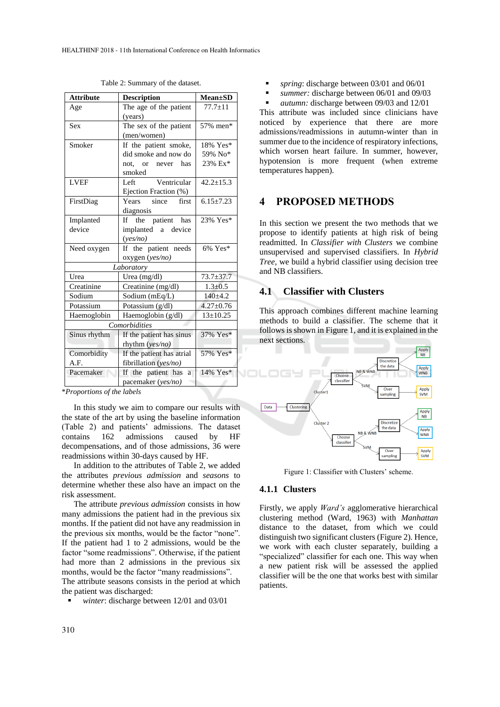| <b>Attribute</b> | <b>Description</b>                    | <b>Mean</b> ±SD |  |
|------------------|---------------------------------------|-----------------|--|
| Age              | The age of the patient                | $77.7 + 11$     |  |
|                  | (years)                               |                 |  |
| <b>Sex</b>       | The sex of the patient                | 57% men*        |  |
|                  | (men/women)                           |                 |  |
| Smoker           | If the patient smoke,                 | 18% Yes*        |  |
|                  | did smoke and now do                  | 59% No*         |  |
|                  | not, or never has                     | 23% Ex*         |  |
|                  | smoked                                |                 |  |
| <b>LVEF</b>      | Ventricular<br>Left                   | $42.2 \pm 15.3$ |  |
|                  | Ejection Fraction (%)                 |                 |  |
| FirstDiag        | Years since first                     | $6.15 + 7.23$   |  |
|                  | diagnosis                             |                 |  |
| Implanted        | patient has<br>If -<br>the            | 23% Yes*        |  |
| device           | implanted a device                    |                 |  |
|                  | (yes/no)                              |                 |  |
| Need oxygen      | If the patient needs                  | $6\%$ Yes*      |  |
|                  | oxygen (yes/no)                       |                 |  |
|                  | Laboratory                            |                 |  |
| Urea             | Urea (mg/dl)                          | $73.7 + 37.7$   |  |
| Creatinine       | Creatinine (mg/dl)                    | $1.3 \pm 0.5$   |  |
| Sodium           | Sodium (mEq/L)                        | $140 + 4.2$     |  |
| Potassium        | Potassium (g/dl)                      | $4.27 \pm 0.76$ |  |
| Haemoglobin      | Haemoglobin (g/dl)                    | $13 \pm 10.25$  |  |
| Comorbidities    |                                       |                 |  |
| Sinus rhythm     | If the patient has sinus              | 37% Yes*        |  |
|                  | rhythm $(yes/no)$                     |                 |  |
| Comorbidity      | If the patient has atrial<br>57% Yes* |                 |  |
| A.F.             | fibrillation (yes/no)                 |                 |  |
| Pacemaker        | 14% Yes*<br>If the patient has<br>a   |                 |  |
|                  | pacemaker (yes/no)                    |                 |  |

Table 2: Summary of the dataset.

\**Proportions of the labels*

In this study we aim to compare our results with the state of the art by using the baseline information (Table 2) and patients' admissions. The dataset contains 162 admissions caused by HF decompensations, and of those admissions, 36 were readmissions within 30-days caused by HF.

In addition to the attributes of Table 2, we added the attributes *previous admission* and *seasons* to determine whether these also have an impact on the risk assessment.

The attribute *previous admission* consists in how many admissions the patient had in the previous six months. If the patient did not have any readmission in the previous six months, would be the factor "none". If the patient had 1 to 2 admissions, would be the factor "some readmissions". Otherwise, if the patient had more than 2 admissions in the previous six months, would be the factor "many readmissions".

The attribute seasons consists in the period at which the patient was discharged:

winter: discharge between 12/01 and 03/01

- spring: discharge between 03/01 and 06/01
- summer: discharge between 06/01 and 09/03

*autumn:* discharge between 09/03 and 12/01 This attribute was included since clinicians have noticed by experience that there are more admissions/readmissions in autumn-winter than in summer due to the incidence of respiratory infections. which worsen heart failure. In summer, however, hypotension is more frequent (when extreme temperatures happen).

## **4 PROPOSED METHODS**

In this section we present the two methods that we propose to identify patients at high risk of being readmitted. In *Classifier with Clusters* we combine unsupervised and supervised classifiers. In *Hybrid Tree*, we build a hybrid classifier using decision tree and NB classifiers.

## **4.1 Classifier with Clusters**

This approach combines different machine learning methods to build a classifier. The scheme that it follows is shown in Figure 1, and it is explained in the next sections.



Figure 1: Classifier with Clusters' scheme.

### **4.1.1 Clusters**

Firstly, we apply *Ward's* agglomerative hierarchical clustering method (Ward, 1963) with *Manhattan* distance to the dataset, from which we could distinguish two significant clusters (Figure 2). Hence, we work with each cluster separately, building a "specialized" classifier for each one. This way when a new patient risk will be assessed the applied classifier will be the one that works best with similar patients.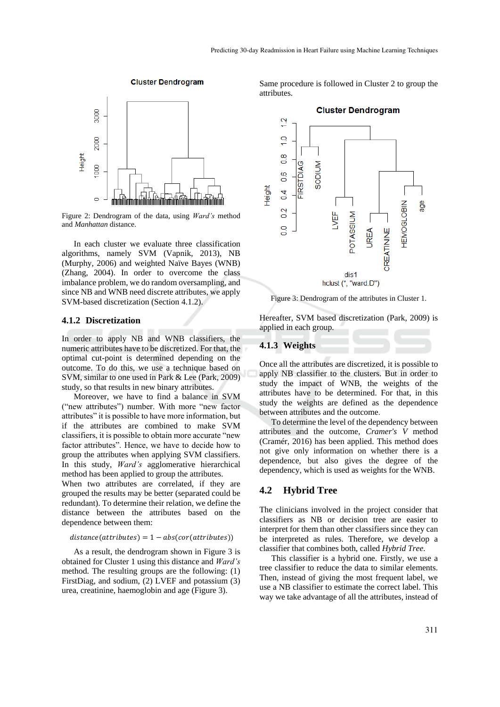

**Cluster Dendrogram** 

Figure 2: Dendrogram of the data, using *Ward's* method and *Manhattan* distance.

In each cluster we evaluate three classification algorithms, namely SVM (Vapnik, 2013), NB (Murphy, 2006) and weighted Naïve Bayes (WNB) (Zhang, 2004). In order to overcome the class imbalance problem, we do random oversampling, and since NB and WNB need discrete attributes, we apply SVM-based discretization (Section 4.1.2).

#### **4.1.2 Discretization**

In order to apply NB and WNB classifiers, the numeric attributes have to be discretized. For that, the optimal cut-point is determined depending on the outcome. To do this, we use a technique based on SVM, similar to one used in Park & Lee (Park, 2009) study, so that results in new binary attributes.

Moreover, we have to find a balance in SVM ("new attributes") number. With more "new factor attributes" it is possible to have more information, but if the attributes are combined to make SVM classifiers, it is possible to obtain more accurate "new factor attributes". Hence, we have to decide how to group the attributes when applying SVM classifiers. In this study, *Ward's* agglomerative hierarchical method has been applied to group the attributes.

When two attributes are correlated, if they are grouped the results may be better (separated could be redundant). To determine their relation, we define the distance between the attributes based on the dependence between them:

#### $distance(attributes) = 1 - abs(cor(attributes))$

As a result, the dendrogram shown in Figure 3 is obtained for Cluster 1 using this distance and *Ward's* method. The resulting groups are the following: (1) FirstDiag, and sodium, (2) LVEF and potassium (3) urea, creatinine, haemoglobin and age (Figure 3).

Same procedure is followed in Cluster 2 to group the attributes.



Figure 3: Dendrogram of the attributes in Cluster 1.

Hereafter, SVM based discretization (Park, 2009) is applied in each group.

#### **4.1.3 Weights**

Once all the attributes are discretized, it is possible to apply NB classifier to the clusters. But in order to study the impact of WNB, the weights of the attributes have to be determined. For that, in this study the weights are defined as the dependence between attributes and the outcome.

To determine the level of the dependency between attributes and the outcome, *Cramer's V* method (Cramér, 2016) has been applied. This method does not give only information on whether there is a dependence, but also gives the degree of the dependency, which is used as weights for the WNB.

## **4.2 Hybrid Tree**

The clinicians involved in the project consider that classifiers as NB or decision tree are easier to interpret for them than other classifiers since they can be interpreted as rules. Therefore, we develop a classifier that combines both, called *Hybrid Tree.*

This classifier is a hybrid one. Firstly, we use a tree classifier to reduce the data to similar elements. Then, instead of giving the most frequent label, we use a NB classifier to estimate the correct label. This way we take advantage of all the attributes, instead of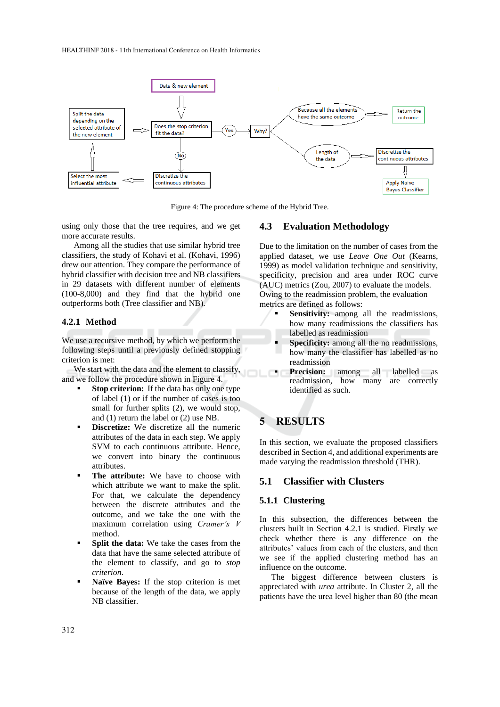

Figure 4: The procedure scheme of the Hybrid Tree.

using only those that the tree requires, and we get more accurate results.

Among all the studies that use similar hybrid tree classifiers, the study of Kohavi et al. (Kohavi, 1996) drew our attention. They compare the performance of hybrid classifier with decision tree and NB classifiers in 29 datasets with different number of elements (100-8,000) and they find that the hybrid one outperforms both (Tree classifier and NB).

#### **4.2.1 Method**

We use a recursive method, by which we perform the following steps until a previously defined stopping criterion is met:

We start with the data and the element to classify, and we follow the procedure shown in Figure 4.

- **Stop criterion:** If the data has only one type of label (1) or if the number of cases is too small for further splits (2), we would stop, and (1) return the label or (2) use NB.
- **Exercize:** We discretize all the numeric attributes of the data in each step. We apply SVM to each continuous attribute. Hence, we convert into binary the continuous attributes.
- **The attribute:** We have to choose with which attribute we want to make the split. For that, we calculate the dependency between the discrete attributes and the outcome, and we take the one with the maximum correlation using *Cramer's V* method.
- **Split the data:** We take the cases from the data that have the same selected attribute of the element to classify, and go to *stop criterion*.
- **Naïve Bayes:** If the stop criterion is met because of the length of the data, we apply NB classifier.

#### **4.3 Evaluation Methodology**

Due to the limitation on the number of cases from the applied dataset, we use *Leave One Out* (Kearns, 1999) as model validation technique and sensitivity, specificity, precision and area under ROC curve (AUC) metrics (Zou, 2007) to evaluate the models. Owing to the readmission problem, the evaluation metrics are defined as follows:

- **Sensitivity:** among all the readmissions, how many readmissions the classifiers has labelled as readmission
- Specificity: among all the no readmissions, how many the classifier has labelled as no readmission
- Precision: among all labelled as readmission, how many are correctly identified as such.

# **5 RESULTS**

In this section, we evaluate the proposed classifiers described in Section 4, and additional experiments are made varying the readmission threshold (THR).

### **5.1 Classifier with Clusters**

#### **5.1.1 Clustering**

In this subsection, the differences between the clusters built in Section 4.2.1 is studied. Firstly we check whether there is any difference on the attributes' values from each of the clusters, and then we see if the applied clustering method has an influence on the outcome.

The biggest difference between clusters is appreciated with *urea* attribute. In Cluster 2, all the patients have the urea level higher than 80 (the mean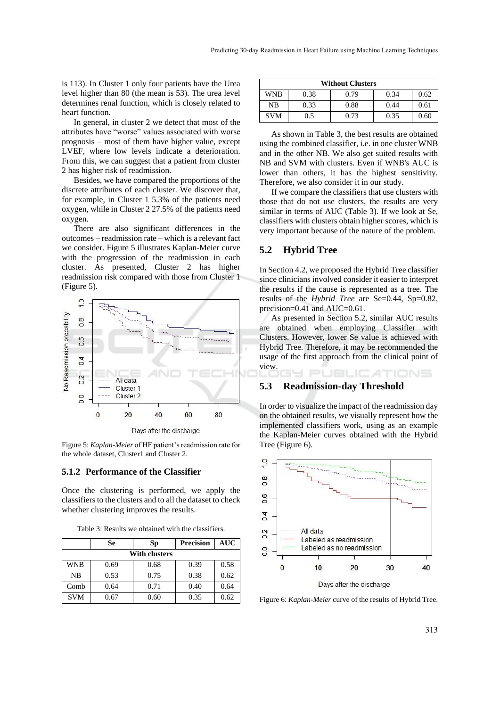is 113). In Cluster 1 only four patients have the Urea level higher than 80 (the mean is 53). The urea level determines renal function, which is closely related to heart function.

In general, in cluster 2 we detect that most of the attributes have "worse" values associated with worse prognosis – most of them have higher value, except LVEF, where low levels indicate a deterioration. From this, we can suggest that a patient from cluster 2 has higher risk of readmission.

Besides, we have compared the proportions of the discrete attributes of each cluster. We discover that, for example, in Cluster 1 5.3% of the patients need oxygen, while in Cluster 2 27.5% of the patients need oxygen.

There are also significant differences in the outcomes – readmission rate – which is a relevant fact we consider. Figure 5 illustrates Kaplan-Meier curve with the progression of the readmission in each cluster. As presented, Cluster 2 has higher readmission risk compared with those from Cluster 1 (Figure 5).



Figure 5: *Kaplan-Meier* of HF patient's readmission rate for the whole dataset, Cluster1 and Cluster 2.

#### **5.1.2 Performance of the Classifier**

Once the clustering is performed, we apply the classifiers to the clusters and to all the dataset to check whether clustering improves the results.

Table 3: Results we obtained with the classifiers.

|                      | Se   | Sp   | <b>Precision</b> |      |  |
|----------------------|------|------|------------------|------|--|
| <b>With clusters</b> |      |      |                  |      |  |
| WNB                  | 0.69 | 0.68 | 0.39             | 0.58 |  |
| <b>NB</b>            | 0.53 | 0.75 | 0.38             | 0.62 |  |
| Comb                 | 0.64 | 0.71 | 0.40             | 0.64 |  |
| <b>SVM</b>           | ).67 | 0.60 | 0.35             | 0.62 |  |

| <b>Without Clusters</b> |      |      |      |      |
|-------------------------|------|------|------|------|
| WNB                     | 0.38 | 0.79 | 0.34 | 0.62 |
| NB                      | 0.33 | 0.88 | 0.44 | 0.61 |
| <b>SVM</b>              | 0.5  | 0.73 | 0.35 | 0.60 |

As shown in Table 3, the best results are obtained using the combined classifier, i.e. in one cluster WNB and in the other NB. We also get suited results with NB and SVM with clusters. Even if WNB's AUC is lower than others, it has the highest sensitivity. Therefore, we also consider it in our study.

If we compare the classifiers that use clusters with those that do not use clusters, the results are very similar in terms of AUC (Table 3). If we look at Se, classifiers with clusters obtain higher scores, which is very important because of the nature of the problem*.*

#### **5.2 Hybrid Tree**

In Section 4.2, we proposed the Hybrid Tree classifier since clinicians involved consider it easier to interpret the results if the cause is represented as a tree. The results of the *Hybrid Tree* are Se=0.44, Sp=0.82, precision=0.41 and AUC=0.61.

As presented in Section 5.2, similar AUC results are obtained when employing Classifier with Clusters. However, lower Se value is achieved with Hybrid Tree. Therefore, it may be recommended the usage of the first approach from the clinical point of view.

Y PUBLIC ATIONS

## **5.3 Readmission-day Threshold**

In order to visualize the impact of the readmission day on the obtained results, we visually represent how the implemented classifiers work, using as an example the Kaplan-Meier curves obtained with the Hybrid Tree (Figure 6).



Figure 6: *Kaplan-Meier* curve of the results of Hybrid Tree.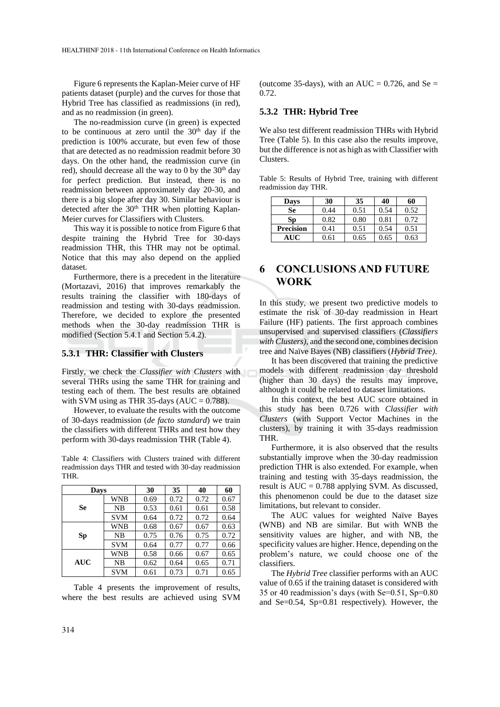Figure 6 represents the Kaplan-Meier curve of HF patients dataset (purple) and the curves for those that Hybrid Tree has classified as readmissions (in red), and as no readmission (in green).

The no-readmission curve (in green) is expected to be continuous at zero until the  $30<sup>th</sup>$  day if the prediction is 100% accurate, but even few of those that are detected as no readmission readmit before 30 days. On the other hand, the readmission curve (in red), should decrease all the way to 0 by the  $30<sup>th</sup>$  day for perfect prediction. But instead, there is no readmission between approximately day 20-30, and there is a big slope after day 30. Similar behaviour is detected after the 30<sup>th</sup> THR when plotting Kaplan-Meier curves for Classifiers with Clusters.

This way it is possible to notice from Figure 6 that despite training the Hybrid Tree for 30-days readmission THR, this THR may not be optimal. Notice that this may also depend on the applied dataset.

Furthermore, there is a precedent in the literature (Mortazavi, 2016) that improves remarkably the results training the classifier with 180-days of readmission and testing with 30-days readmission. Therefore, we decided to explore the presented methods when the 30-day readmission THR is modified (Section 5.4.1 and Section 5.4.2).

#### **5.3.1 THR: Classifier with Clusters**

Firstly, we check the *Classifier with Clusters* with several THRs using the same THR for training and testing each of them. The best results are obtained with SVM using as THR 35-days ( $AUC = 0.788$ ).

However, to evaluate the results with the outcome of 30-days readmission (*de facto standard*) we train the classifiers with different THRs and test how they perform with 30-days readmission THR (Table 4).

Table 4: Classifiers with Clusters trained with different readmission days THR and tested with 30-day readmission THR.

| Days       |            | 30   | 35   | 40   | 60   |
|------------|------------|------|------|------|------|
| Se         | <b>WNB</b> | 0.69 | 0.72 | 0.72 | 0.67 |
|            | <b>NB</b>  | 0.53 | 0.61 | 0.61 | 0.58 |
|            | <b>SVM</b> | 0.64 | 0.72 | 0.72 | 0.64 |
| Sp         | WNB        | 0.68 | 0.67 | 0.67 | 0.63 |
|            | <b>NB</b>  | 0.75 | 0.76 | 0.75 | 0.72 |
|            | <b>SVM</b> | 0.64 | 0.77 | 0.77 | 0.66 |
| <b>AUC</b> | <b>WNB</b> | 0.58 | 0.66 | 0.67 | 0.65 |
|            | <b>NB</b>  | 0.62 | 0.64 | 0.65 | 0.71 |
|            | <b>SVM</b> | 0.61 | 0.73 | 0.71 | 0.65 |

Table 4 presents the improvement of results, where the best results are achieved using SVM

(outcome 35-days), with an AUC =  $0.726$ , and Se = 0.72.

#### **5.3.2 THR: Hybrid Tree**

We also test different readmission THRs with Hybrid Tree (Table 5). In this case also the results improve, but the difference is not as high as with Classifier with Clusters.

Table 5: Results of Hybrid Tree, training with different readmission day THR.

| Days             | 30   | 35   | 40   | 60   |
|------------------|------|------|------|------|
| Se               | 0.44 | 0.51 | 0.54 | 0.52 |
| Sp               | 0.82 | 0.80 | 0.81 | 0.72 |
| <b>Precision</b> | 0.41 | 0.51 | 0.54 | 0.51 |
| AUC              | 9.61 | 0.65 | 0.65 | 0.63 |

## **6 CONCLUSIONS AND FUTURE WORK**

In this study, we present two predictive models to estimate the risk of 30-day readmission in Heart Failure (HF) patients. The first approach combines unsupervised and supervised classifiers (*Classifiers with Clusters)*, and the second one, combines decision tree and Naïve Bayes (NB) classifiers (*Hybrid Tree)*.

It has been discovered that training the predictive models with different readmission day threshold (higher than 30 days) the results may improve, although it could be related to dataset limitations.

In this context, the best AUC score obtained in this study has been 0.726 with *Classifier with Clusters* (with Support Vector Machines in the clusters), by training it with 35-days readmission THR.

Furthermore, it is also observed that the results substantially improve when the 30-day readmission prediction THR is also extended. For example, when training and testing with 35-days readmission, the result is  $AUC = 0.788$  applying SVM. As discussed, this phenomenon could be due to the dataset size limitations, but relevant to consider.

The AUC values for weighted Naïve Bayes (WNB) and NB are similar. But with WNB the sensitivity values are higher, and with NB, the specificity values are higher. Hence, depending on the problem's nature, we could choose one of the classifiers.

The *Hybrid Tree* classifier performs with an AUC value of 0.65 if the training dataset is considered with 35 or 40 readmission's days (with Se=0.51, Sp=0.80 and Se=0.54, Sp=0.81 respectively). However, the